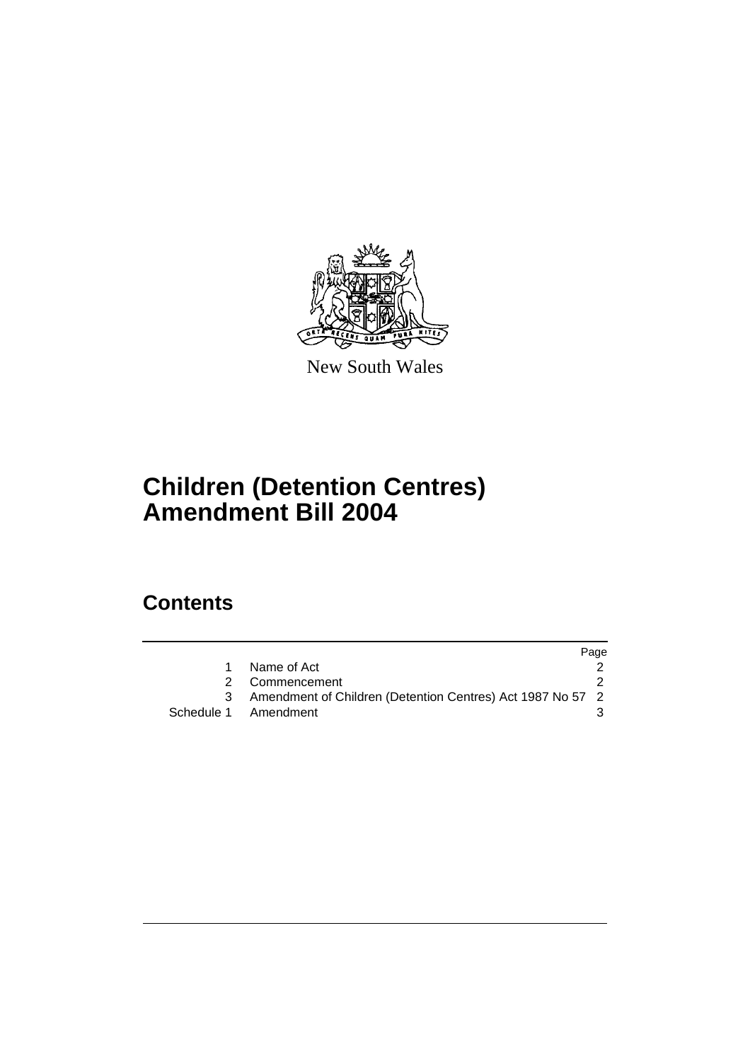

New South Wales

# **Children (Detention Centres) Amendment Bill 2004**

# **Contents**

|                                                            | Page |
|------------------------------------------------------------|------|
| Name of Act                                                |      |
| 2 Commencement                                             |      |
| Amendment of Children (Detention Centres) Act 1987 No 57 2 |      |
| Schedule 1 Amendment                                       |      |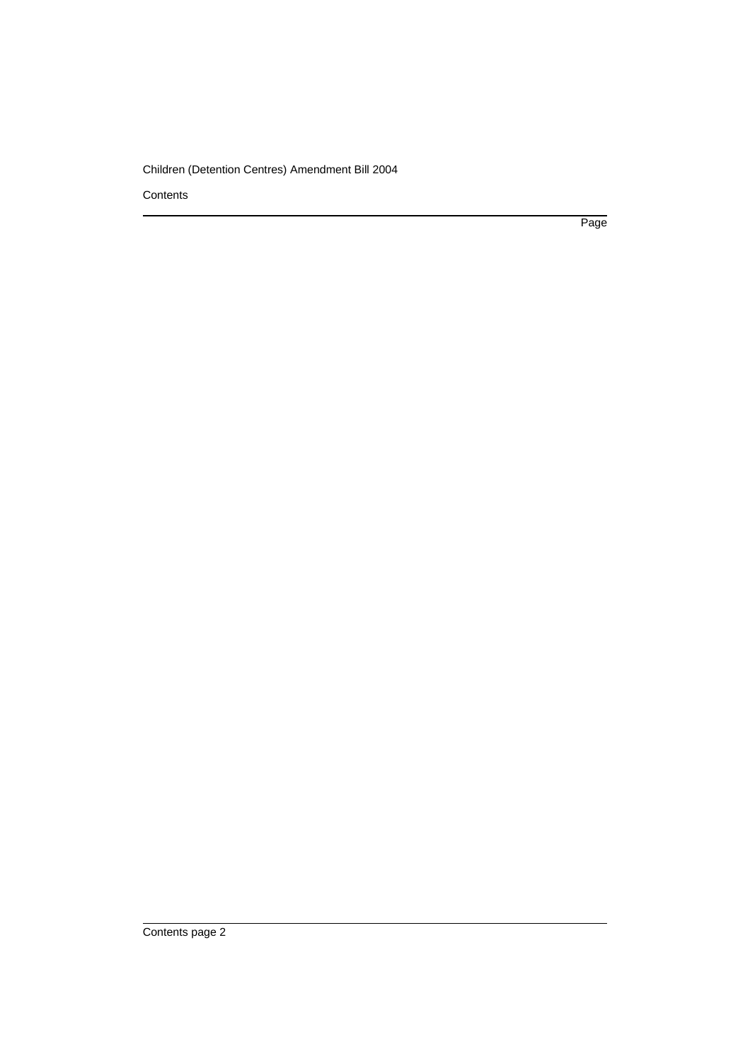#### Children (Detention Centres) Amendment Bill 2004

**Contents** 

Page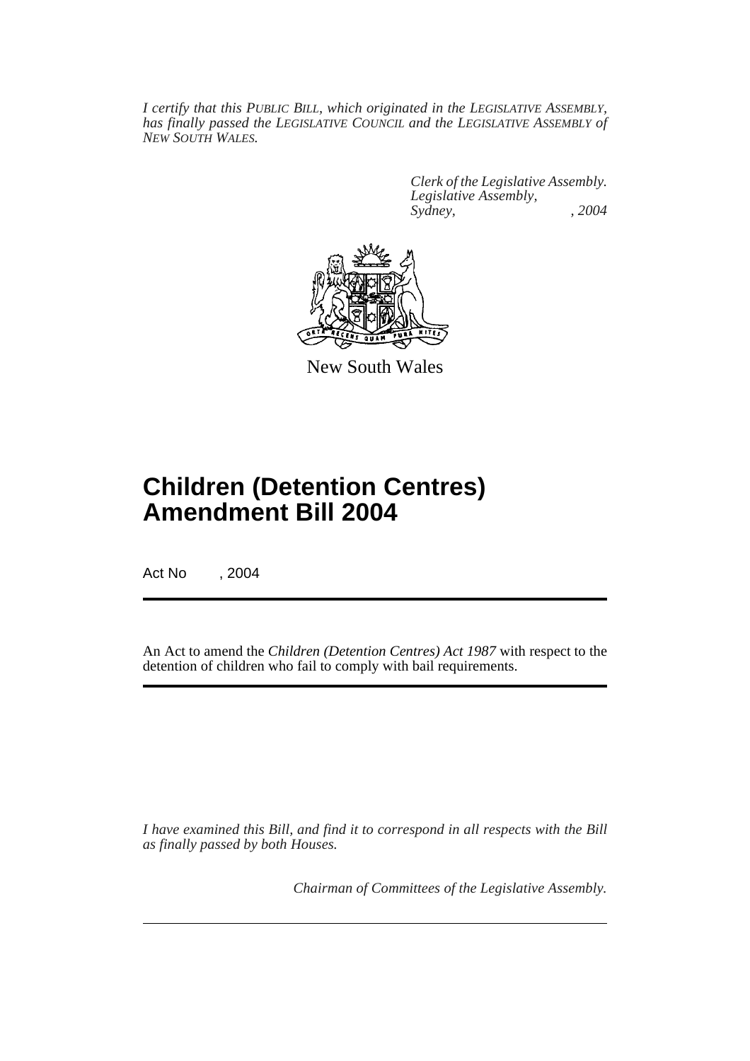*I certify that this PUBLIC BILL, which originated in the LEGISLATIVE ASSEMBLY, has finally passed the LEGISLATIVE COUNCIL and the LEGISLATIVE ASSEMBLY of NEW SOUTH WALES.*

> *Clerk of the Legislative Assembly. Legislative Assembly, Sydney, , 2004*



New South Wales

# **Children (Detention Centres) Amendment Bill 2004**

Act No , 2004

An Act to amend the *Children (Detention Centres) Act 1987* with respect to the detention of children who fail to comply with bail requirements.

*I have examined this Bill, and find it to correspond in all respects with the Bill as finally passed by both Houses.*

*Chairman of Committees of the Legislative Assembly.*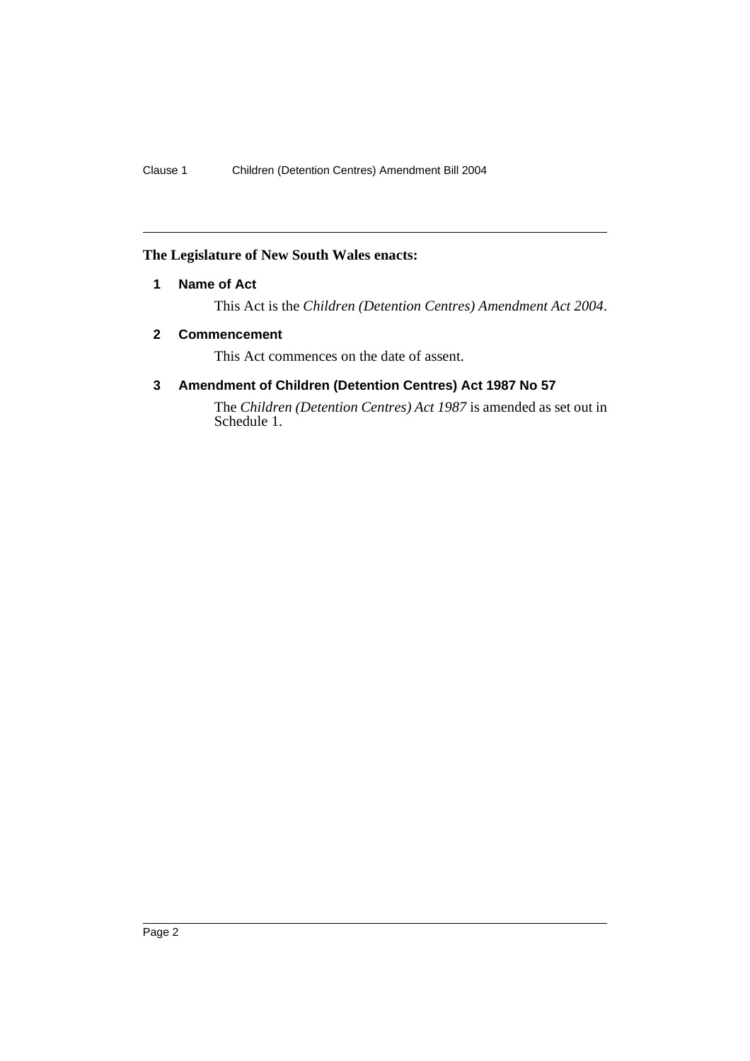### **The Legislature of New South Wales enacts:**

### **1 Name of Act**

This Act is the *Children (Detention Centres) Amendment Act 2004*.

### **2 Commencement**

This Act commences on the date of assent.

## **3 Amendment of Children (Detention Centres) Act 1987 No 57**

The *Children (Detention Centres) Act 1987* is amended as set out in Schedule 1.